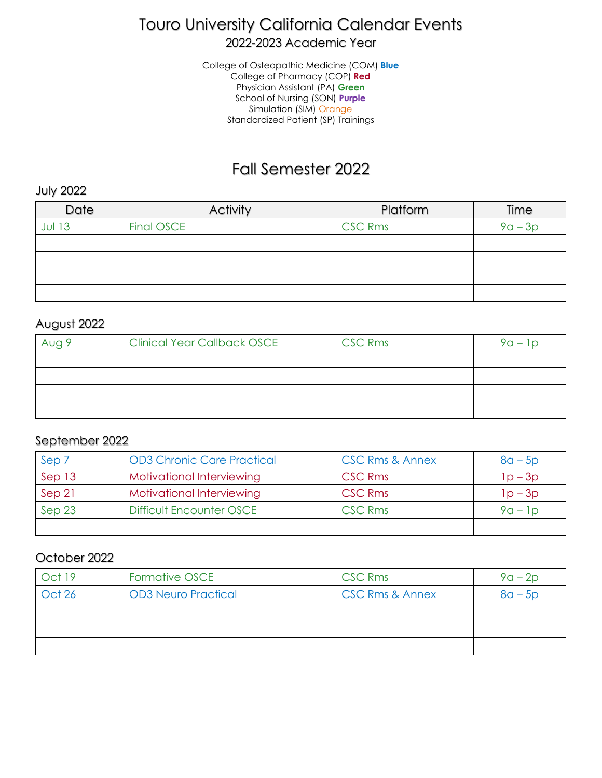# Touro University California Calendar Events

2022-2023 Academic Year

College of Osteopathic Medicine (COM) **Blue** College of Pharmacy (COP) **Red** Physician Assistant (PA) **Green** School of Nursing (SON) **Purple** Simulation (SIM) Orange Standardized Patient (SP) Trainings

## Fall Semester 2022

July 2022

| Date    | Activity   | Platform       | Time      |
|---------|------------|----------------|-----------|
| $JU$ 13 | Final OSCE | <b>CSC Rms</b> | $9a - 3p$ |
|         |            |                |           |
|         |            |                |           |
|         |            |                |           |
|         |            |                |           |

#### August 2022

| Aug 9 | <b>Clinical Year Callback OSCE</b> | <b>CSC Rms</b> | $9a - 1p$ |
|-------|------------------------------------|----------------|-----------|
|       |                                    |                |           |
|       |                                    |                |           |
|       |                                    |                |           |
|       |                                    |                |           |

#### September 2022

| Sep 7  | <b>OD3 Chronic Care Practical</b> | <b>CSC Rms &amp; Annex</b> | $8a - 5p$ |
|--------|-----------------------------------|----------------------------|-----------|
| Sep 13 | Motivational Interviewing         | <b>CSC Rms</b>             | $1p-3p$   |
| Sep 21 | Motivational Interviewing         | <b>CSC Rms</b>             | $1p-3p$   |
| Sep 23 | <b>Difficult Encounter OSCE</b>   | <b>CSC Rms</b>             | $9a - 1p$ |
|        |                                   |                            |           |

#### October 2022

| Oct 19        | Formative OSCE             | <b>CSC Rms</b>             | $9a - 2p$ |
|---------------|----------------------------|----------------------------|-----------|
| <b>Oct 26</b> | <b>OD3 Neuro Practical</b> | <b>CSC Rms &amp; Annex</b> | $8a - 5p$ |
|               |                            |                            |           |
|               |                            |                            |           |
|               |                            |                            |           |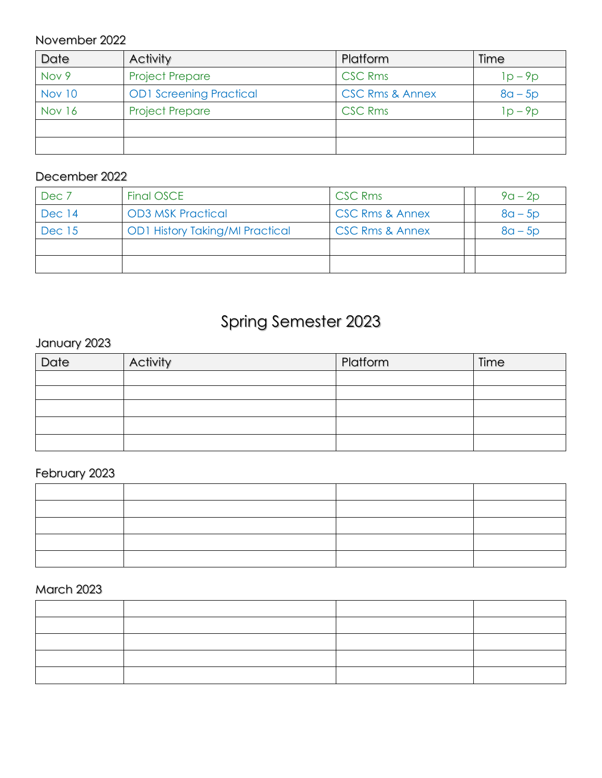### November 2022

| Date   | <b>Activity</b>                | Platform                   | Time      |
|--------|--------------------------------|----------------------------|-----------|
| Nov 9  | <b>Project Prepare</b>         | <b>CSC Rms</b>             | $1p - 9p$ |
| Nov 10 | <b>OD1 Screening Practical</b> | <b>CSC Rms &amp; Annex</b> | $8a - 5p$ |
| Nov 16 | <b>Project Prepare</b>         | <b>CSC Rms</b>             | $lp - 9p$ |
|        |                                |                            |           |
|        |                                |                            |           |

### December 2022

| Dec 7         | Final OSCE                             | <b>CSC Rms</b>             | $9a - 2p$ |
|---------------|----------------------------------------|----------------------------|-----------|
| Dec 14        | <b>OD3 MSK Practical</b>               | <b>CSC Rms &amp; Annex</b> | $8a - 5p$ |
| <b>Dec</b> 15 | <b>OD1 History Taking/MI Practical</b> | <b>CSC Rms &amp; Annex</b> | $8a - 5p$ |
|               |                                        |                            |           |
|               |                                        |                            |           |

# Spring Semester 2023

## January 2023

| Date | Activity | Platform | Time |
|------|----------|----------|------|
|      |          |          |      |
|      |          |          |      |
|      |          |          |      |
|      |          |          |      |
|      |          |          |      |

## February 2023

### March 2023